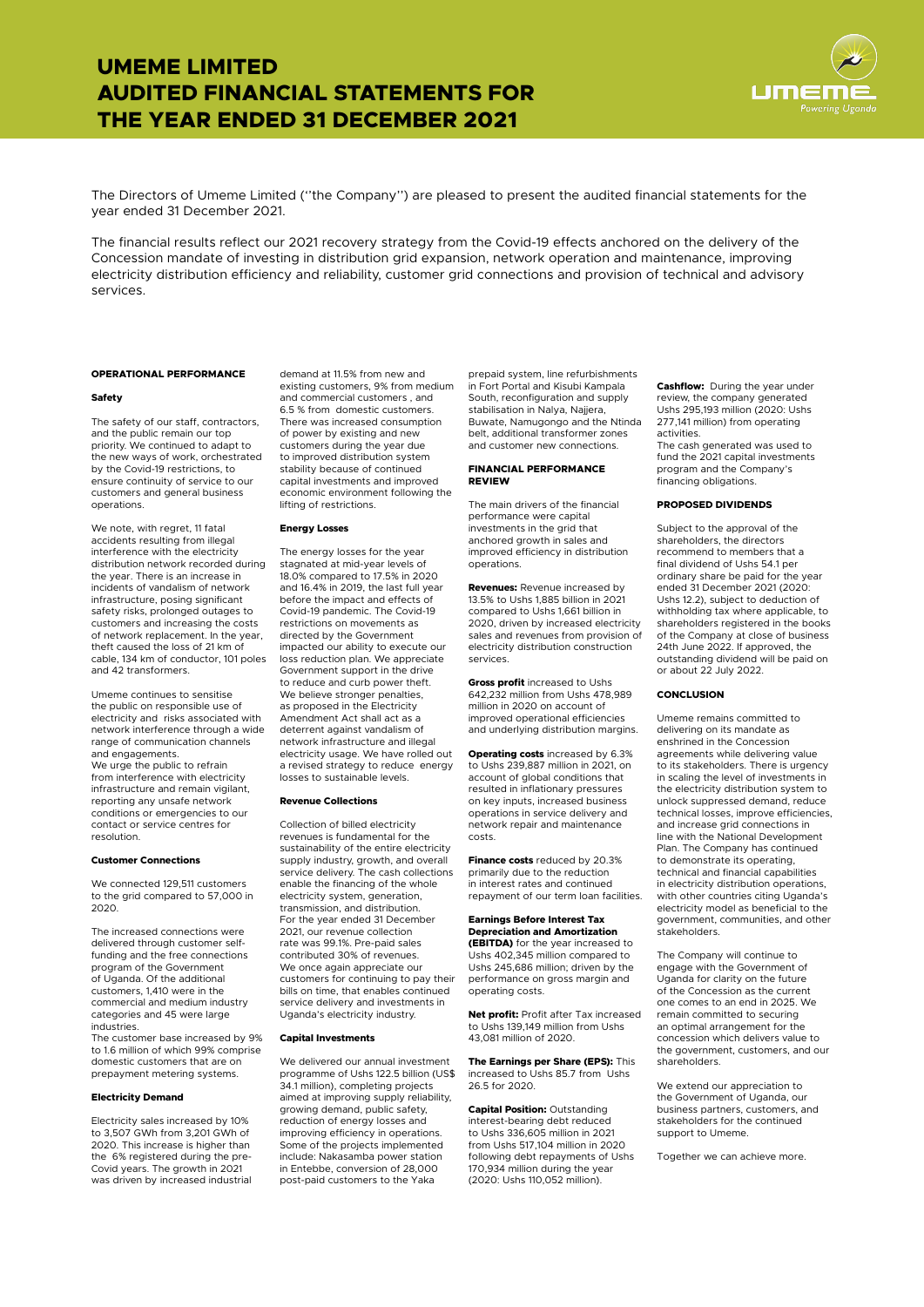#### **OPERATIONAL PERFORMANCE**

#### **Safety**

The safety of our staff, contractors, and the public remain our top priority. We continued to adapt to the new ways of work, orchestrated by the Covid-19 restrictions, to ensure continuity of service to our customers and general business operations.

We note, with regret, 11 fatal accidents resulting from illegal interference with the electricity distribution network recorded during the year. There is an increase in incidents of vandalism of network infrastructure, posing significant safety risks, prolonged outages to customers and increasing the costs of network replacement. In the year, theft caused the loss of 21 km of cable, 134 km of conductor, 101 poles and 42 transformers.

Umeme continues to sensitise the public on responsible use of electricity and risks associated with network interference through a wide range of communication channels and engagements.

We urge the public to refrain from interference with electricity infrastructure and remain vigilant, reporting any unsafe network conditions or emergencies to our contact or service centres for resolution.

#### **Customer Connections**

We connected 129,511 customers to the grid compared to 57,000 in 2020.

The increased connections were delivered through customer selffunding and the free connections program of the Government of Uganda. Of the additional customers, 1,410 were in the commercial and medium industry categories and 45 were large industries.

The customer base increased by 9% to 1.6 million of which 99% comprise domestic customers that are on prepayment metering systems.

#### **Electricity Demand**

Electricity sales increased by 10% to 3,507 GWh from 3,201 GWh of 2020. This increase is higher than the 6% registered during the pre-Covid years. The growth in 2021 was driven by increased industrial

demand at 11.5% from new and existing customers, 9% from medium and commercial customers , and 6.5 % from domestic customers. There was increased consumption of power by existing and new customers during the year due to improved distribution system stability because of continued capital investments and improved economic environment following the lifting of restrictions.

#### **Energy Losses**

The energy losses for the year stagnated at mid-year levels of 18.0% compared to 17.5% in 2020 and 16.4% in 2019, the last full year before the impact and effects of Covid-19 pandemic. The Covid-19 restrictions on movements as directed by the Government impacted our ability to execute our loss reduction plan. We appreciate Government support in the drive to reduce and curb power theft. We believe stronger penalties, as proposed in the Electricity Amendment Act shall act as a deterrent against vandalism of network infrastructure and illegal electricity usage. We have rolled out a revised strategy to reduce energy losses to sustainable levels.

#### **Revenue Collections**

Collection of billed electricity revenues is fundamental for the sustainability of the entire electricity supply industry, growth, and overall service delivery. The cash collections enable the financing of the whole electricity system, generation, transmission, and distribution. For the year ended 31 December 2021, our revenue collection rate was 99.1%. Pre-paid sales contributed 30% of revenues. We once again appreciate our customers for continuing to pay their

bills on time, that enables continued service delivery and investments in Uganda's electricity industry.

#### **Capital Investments**

We delivered our annual investment programme of Ushs 122.5 billion (US\$ 34.1 million), completing projects aimed at improving supply reliability, growing demand, public safety, reduction of energy losses and improving efficiency in operations. Some of the projects implemented include: Nakasamba power station in Entebbe, conversion of 28,000 post-paid customers to the Yaka

prepaid system, line refurbishments in Fort Portal and Kisubi Kampala South, reconfiguration and supply stabilisation in Nalya, Najjera, Buwate, Namugongo and the Ntinda belt, additional transformer zones and customer new connections.

#### **FINANCIAL PERFORMANCE REVIEW**

The main drivers of the financial performance were capital investments in the grid that anchored growth in sales and improved efficiency in distribution operations.

**Revenues:** Revenue increased by 13.5% to Ushs 1,885 billion in 2021 compared to Ushs 1,661 billion in 2020, driven by increased electricity sales and revenues from provision of electricity distribution construction services.

**Gross profit** increased to Ushs 642,232 million from Ushs 478,989 million in 2020 on account of improved operational efficiencies and underlying distribution margins.

**Operating costs** increased by 6.3% to Ushs 239,887 million in 2021, on account of global conditions that resulted in inflationary pressures on key inputs, increased business operations in service delivery and network repair and maintenance costs.

**Finance costs** reduced by 20.3% primarily due to the reduction in interest rates and continued repayment of our term loan facilities.

## **Earnings Before Interest Tax Depreciation and Amortization**

**(EBITDA)** for the year increased to Ushs 402,345 million compared to Ushs 245,686 million; driven by the performance on gross margin and

operating costs.

**Net profit:** Profit after Tax increased to Ushs 139,149 million from Ushs 43,081 million of 2020.

**The Earnings per Share (EPS):** This increased to Ushs 85.7 from Ushs 26.5 for 2020.

**Capital Position:** Outstanding interest-bearing debt reduced to Ushs 336,605 million in 2021 from Ushs 517,104 million in 2020 following debt repayments of Ushs 170,934 million during the year (2020: Ushs 110,052 million).

**Cashflow:** During the year under review, the company generated Ushs 295,193 million (2020: Ushs 277,141 million) from operating activities.

The cash generated was used to fund the 2021 capital investments program and the Company's financing obligations.

#### **PROPOSED DIVIDENDS**

Subject to the approval of the shareholders, the directors recommend to members that a final dividend of Ushs 54.1 per ordinary share be paid for the year ended 31 December 2021 (2020: Ushs 12.2), subject to deduction of withholding tax where applicable, to shareholders registered in the books of the Company at close of business 24th June 2022. If approved, the outstanding dividend will be paid on or about 22 July 2022.

## **CONCLUSION**

Umeme remains committed to delivering on its mandate as enshrined in the Concession agreements while delivering value to its stakeholders. There is urgency in scaling the level of investments in the electricity distribution system to unlock suppressed demand, reduce technical losses, improve efficiencies, and increase grid connections in line with the National Development Plan. The Company has continued to demonstrate its operating, technical and financial capabilities in electricity distribution operations, with other countries citing Uganda's electricity model as beneficial to the government, communities, and other stakeholders.

The Company will continue to engage with the Government of Uganda for clarity on the future of the Concession as the current one comes to an end in 2025. We remain committed to securing an optimal arrangement for the concession which delivers value to the government, customers, and our shareholders.

We extend our appreciation to the Government of Uganda, our business partners, customers, and stakeholders for the continued support to Umeme.

Together we can achieve more.

The Directors of Umeme Limited (''the Company'') are pleased to present the audited financial statements for the year ended 31 December 2021.

The financial results reflect our 2021 recovery strategy from the Covid-19 effects anchored on the delivery of the Concession mandate of investing in distribution grid expansion, network operation and maintenance, improving electricity distribution efficiency and reliability, customer grid connections and provision of technical and advisory services.

# **UMEME LIMITED AUDITED FINANCIAL STATEMENTS FOR THE YEAR ENDED 31 DECEMBER 2021**